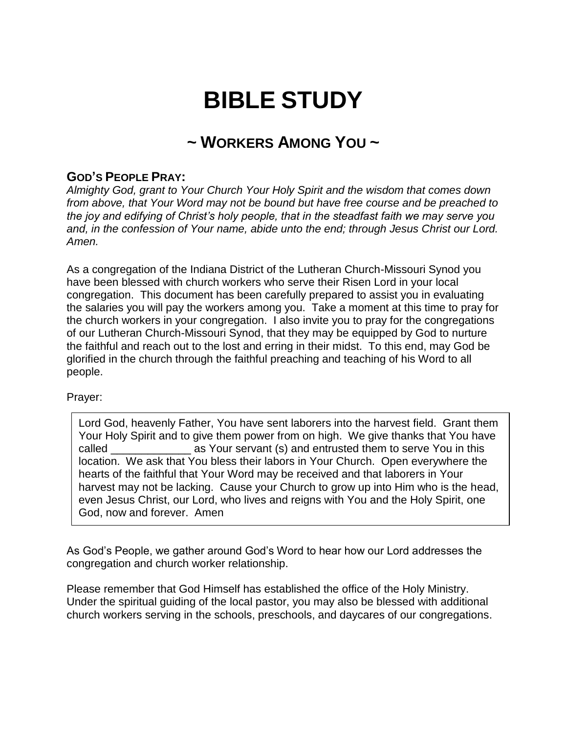# **BIBLE STUDY**

# **~ WORKERS AMONG YOU ~**

## **GOD'S PEOPLE PRAY:**

*Almighty God, grant to Your Church Your Holy Spirit and the wisdom that comes down from above, that Your Word may not be bound but have free course and be preached to the joy and edifying of Christ's holy people, that in the steadfast faith we may serve you and, in the confession of Your name, abide unto the end; through Jesus Christ our Lord. Amen.*

As a congregation of the Indiana District of the Lutheran Church-Missouri Synod you have been blessed with church workers who serve their Risen Lord in your local congregation. This document has been carefully prepared to assist you in evaluating the salaries you will pay the workers among you. Take a moment at this time to pray for the church workers in your congregation. I also invite you to pray for the congregations of our Lutheran Church-Missouri Synod, that they may be equipped by God to nurture the faithful and reach out to the lost and erring in their midst. To this end, may God be glorified in the church through the faithful preaching and teaching of his Word to all people.

#### Prayer:

Lord God, heavenly Father, You have sent laborers into the harvest field. Grant them Your Holy Spirit and to give them power from on high. We give thanks that You have called **as Your servant (s)** and entrusted them to serve You in this location. We ask that You bless their labors in Your Church. Open everywhere the hearts of the faithful that Your Word may be received and that laborers in Your harvest may not be lacking. Cause your Church to grow up into Him who is the head, even Jesus Christ, our Lord, who lives and reigns with You and the Holy Spirit, one God, now and forever. Amen

As God's People, we gather around God's Word to hear how our Lord addresses the congregation and church worker relationship.

Please remember that God Himself has established the office of the Holy Ministry. Under the spiritual guiding of the local pastor, you may also be blessed with additional church workers serving in the schools, preschools, and daycares of our congregations.